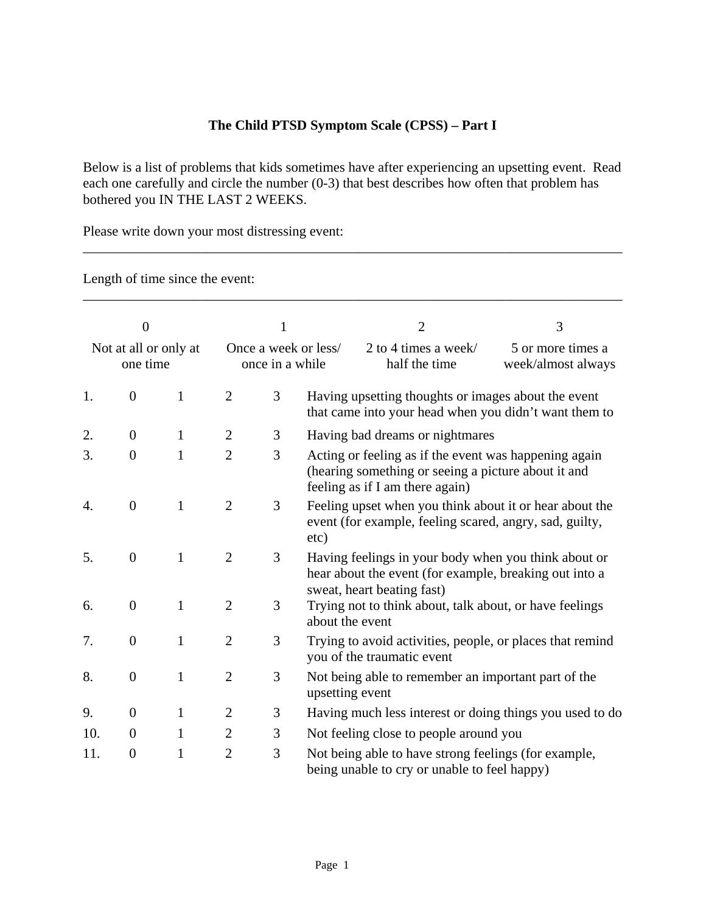## **The Child PTSD Symptom Scale (CPSS) – Part I**

Below is a list of problems that kids sometimes have after experiencing an upsetting event. Read each one carefully and circle the number (0-3) that best describes how often that problem has bothered you IN THE LAST 2 WEEKS.

\_\_\_\_\_\_\_\_\_\_\_\_\_\_\_\_\_\_\_\_\_\_\_\_\_\_\_\_\_\_\_\_\_\_\_\_\_\_\_\_\_\_\_\_\_\_\_\_\_\_\_\_\_\_\_\_\_\_\_\_\_\_\_\_\_\_\_\_\_\_\_\_\_\_\_\_\_\_

Please write down your most distressing event:

Length of time since the event:

| $\overline{0}$<br>Not at all or only at<br>one time |                  |              | 1<br>Once a week or less/<br>once in a while |   |                                                                                                                                                 | $\overline{2}$                                                                                                                               | 3                                       |
|-----------------------------------------------------|------------------|--------------|----------------------------------------------|---|-------------------------------------------------------------------------------------------------------------------------------------------------|----------------------------------------------------------------------------------------------------------------------------------------------|-----------------------------------------|
|                                                     |                  |              |                                              |   |                                                                                                                                                 | 2 to 4 times a week/<br>half the time                                                                                                        | 5 or more times a<br>week/almost always |
| 1.                                                  | $\overline{0}$   | 1            | $\overline{2}$                               | 3 |                                                                                                                                                 | Having upsetting thoughts or images about the event<br>that came into your head when you didn't want them to                                 |                                         |
| 2.                                                  | $\overline{0}$   | $\mathbf{1}$ | $\overline{2}$                               | 3 |                                                                                                                                                 | Having bad dreams or nightmares                                                                                                              |                                         |
| 3.                                                  | $\overline{0}$   | $\mathbf{1}$ | $\overline{2}$                               | 3 | Acting or feeling as if the event was happening again<br>(hearing something or seeing a picture about it and<br>feeling as if I am there again) |                                                                                                                                              |                                         |
| 4.                                                  | $\overline{0}$   | $\mathbf{1}$ | $\overline{2}$                               | 3 | etc)                                                                                                                                            | Feeling upset when you think about it or hear about the<br>event (for example, feeling scared, angry, sad, guilty,                           |                                         |
| 5.                                                  | $\overline{0}$   | $\mathbf{1}$ | $\overline{2}$                               | 3 |                                                                                                                                                 | Having feelings in your body when you think about or<br>hear about the event (for example, breaking out into a<br>sweat, heart beating fast) |                                         |
| 6.                                                  | $\overline{0}$   | $\mathbf{1}$ | $\overline{2}$                               | 3 | about the event                                                                                                                                 | Trying not to think about, talk about, or have feelings                                                                                      |                                         |
| 7.                                                  | $\overline{0}$   | $\mathbf{1}$ | $\overline{2}$                               | 3 |                                                                                                                                                 | Trying to avoid activities, people, or places that remind<br>you of the traumatic event                                                      |                                         |
| 8.                                                  | $\overline{0}$   | $\mathbf{1}$ | $\overline{2}$                               | 3 | upsetting event                                                                                                                                 | Not being able to remember an important part of the                                                                                          |                                         |
| 9.                                                  | $\overline{0}$   | $\mathbf{1}$ | $\overline{2}$                               | 3 |                                                                                                                                                 | Having much less interest or doing things you used to do                                                                                     |                                         |
| 10.                                                 | $\theta$         | $\mathbf{1}$ | $\overline{2}$                               | 3 |                                                                                                                                                 | Not feeling close to people around you                                                                                                       |                                         |
| 11.                                                 | $\boldsymbol{0}$ | $\mathbf{1}$ | $\overline{2}$                               | 3 |                                                                                                                                                 | Not being able to have strong feelings (for example,<br>being unable to cry or unable to feel happy)                                         |                                         |